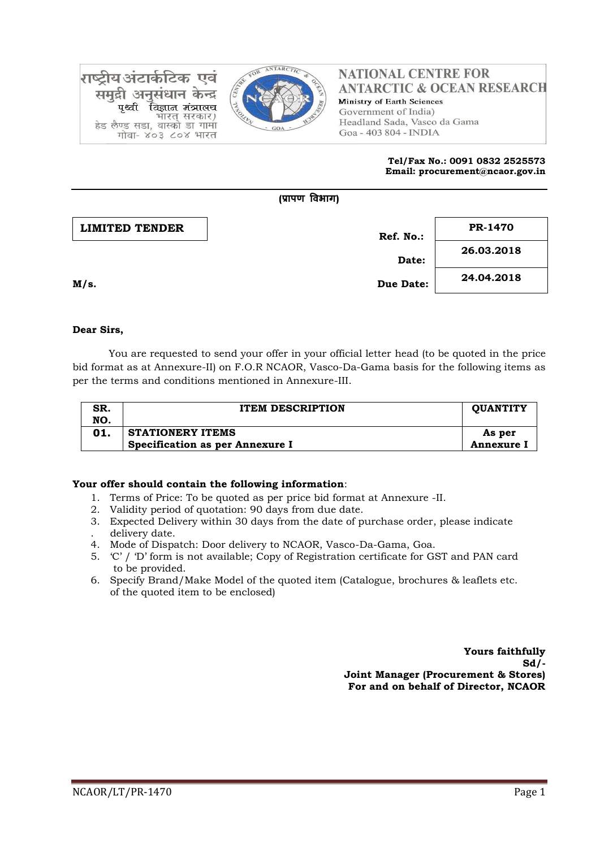

राष्टीय अंटार्कटिक एवं समद्री अनुसंधान केन्द्र विज्ञान मंत्रालय पश्ची भारत सरकार) हेड लैण्ड सडा, वास्को डा गामा गोवा- ४०३ ८०४ भारत

### **NATIONAL CENTRE FOR ANTARCTIC & OCEAN RESEARCH** Ministry of Earth Sciences Government of India) Headland Sada, Vasco da Gama Goa - 403 804 - INDIA

#### **Tel/Fax No.: 0091 0832 2525573 Email: procurement@ncaor.gov.in**

|                       | (प्रापण विभाग)   |            |
|-----------------------|------------------|------------|
| <b>LIMITED TENDER</b> | Ref. No.:        | PR-1470    |
|                       | Date:            | 26.03.2018 |
| M/s.                  | <b>Due Date:</b> | 24.04.2018 |

# **Dear Sirs,**

You are requested to send your offer in your official letter head (to be quoted in the price bid format as at Annexure-II) on F.O.R NCAOR, Vasco-Da-Gama basis for the following items as per the terms and conditions mentioned in Annexure-III.

| SR.<br>NO. | <b>ITEM DESCRIPTION</b>                                    | <b>OUANTITY</b>      |
|------------|------------------------------------------------------------|----------------------|
|            | <b>STATIONERY ITEMS</b><br>Specification as per Annexure I | As per<br>Annexure I |

# **Your offer should contain the following information**:

- 1. Terms of Price: To be quoted as per price bid format at Annexure -II.
- 2. Validity period of quotation: 90 days from due date.
- 3. Expected Delivery within 30 days from the date of purchase order, please indicate . delivery date.
- 4. Mode of Dispatch: Door delivery to NCAOR, Vasco-Da-Gama, Goa.
- 5. 'C' / 'D' form is not available; Copy of Registration certificate for GST and PAN card to be provided.
- 6. Specify Brand/Make Model of the quoted item (Catalogue, brochures & leaflets etc. of the quoted item to be enclosed)

**Yours faithfully Sd/- Joint Manager (Procurement & Stores) For and on behalf of Director, NCAOR**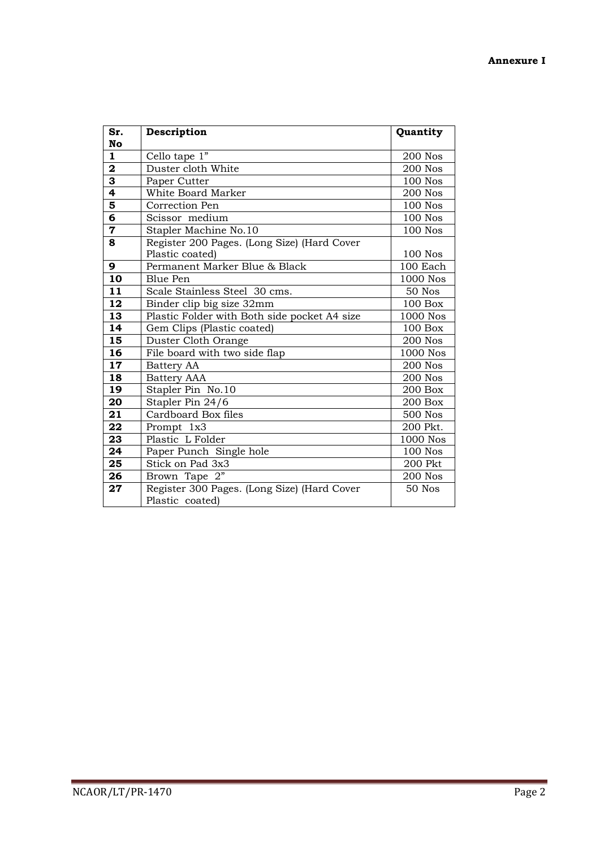| Sr.                     | Description                                  | Quantity        |
|-------------------------|----------------------------------------------|-----------------|
| No                      |                                              |                 |
| $\mathbf{1}$            | Cello tape 1"                                | <b>200 Nos</b>  |
| $\overline{\mathbf{2}}$ | Duster cloth White                           | 200 Nos         |
| $\overline{\mathbf{3}}$ | Paper Cutter                                 | <b>100 Nos</b>  |
| 4                       | White Board Marker                           | 200 Nos         |
| 5                       | Correction Pen                               | <b>100 Nos</b>  |
| 6                       | Scissor medium                               | <b>100 Nos</b>  |
| $\overline{\mathbf{7}}$ | Stapler Machine No.10                        | <b>100 Nos</b>  |
| 8                       | Register 200 Pages. (Long Size) (Hard Cover  |                 |
|                         | Plastic coated)                              | <b>100 Nos</b>  |
| 9                       | Permanent Marker Blue & Black                | 100 Each        |
| 10                      | <b>Blue Pen</b>                              | 1000 Nos        |
| 11                      | Scale Stainless Steel 30 cms.                | 50 Nos          |
| 12                      | Binder clip big size 32mm                    | $100$ Box       |
| 13                      | Plastic Folder with Both side pocket A4 size | 1000 Nos        |
| 14                      | Gem Clips (Plastic coated)                   | $100$ Box       |
| $\overline{15}$         | Duster Cloth Orange                          | <b>200 Nos</b>  |
| 16                      | File board with two side flap                | 1000 Nos        |
| 17                      | Battery AA                                   | 200 Nos         |
| 18                      | <b>Battery AAA</b>                           | <b>200 Nos</b>  |
| 19                      | Stapler Pin No.10                            | 200 Box         |
| 20                      | Stapler Pin 24/6                             | 200 Box         |
| 21                      | Cardboard Box files                          | 500 Nos         |
| 22                      | Prompt 1x3                                   | 200 Pkt.        |
| 23                      | Plastic L Folder                             | <b>1000 Nos</b> |
| 24                      | Paper Punch Single hole                      | <b>100 Nos</b>  |
| 25                      | Stick on Pad 3x3                             | 200 Pkt         |
| 26                      | Brown Tape 2"                                | <b>200 Nos</b>  |
| 27                      | Register 300 Pages. (Long Size) (Hard Cover  | 50 Nos          |
|                         | Plastic coated)                              |                 |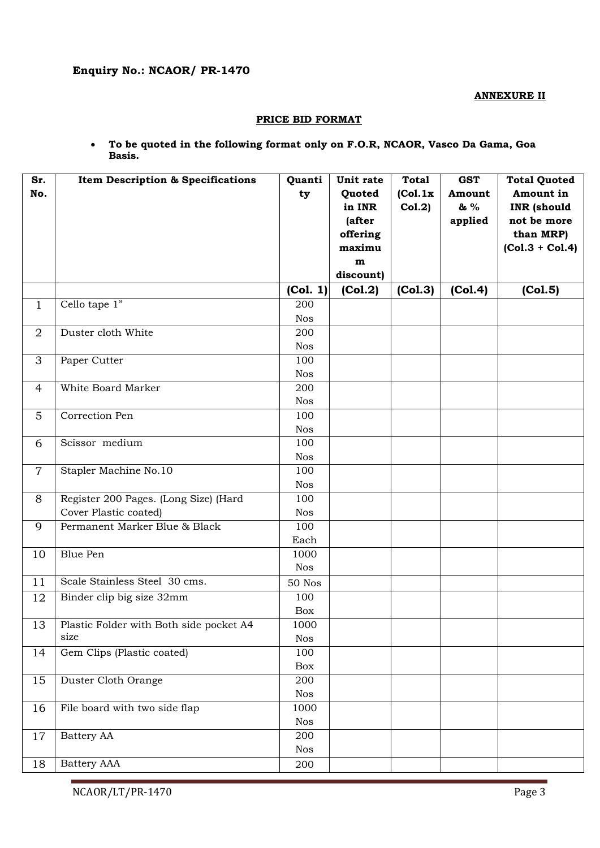**ANNEXURE II**

### **PRICE BID FORMAT**

 **To be quoted in the following format only on F.O.R, NCAOR, Vasco Da Gama, Goa Basis.**

| Sr.<br>No.     | <b>Item Description &amp; Specifications</b>    | Quanti<br>ty      | Unit rate<br>Quoted<br>in INR<br>(after<br>offering<br>maximu<br>m<br>discount) | <b>Total</b><br>(Col.1x)<br>Col.2) | <b>GST</b><br>Amount<br>& %<br>applied | <b>Total Quoted</b><br>Amount in<br><b>INR</b> (should<br>not be more<br>than MRP)<br>$(Co1.3 + Co1.4)$ |
|----------------|-------------------------------------------------|-------------------|---------------------------------------------------------------------------------|------------------------------------|----------------------------------------|---------------------------------------------------------------------------------------------------------|
|                |                                                 | (Col. 1)          | (Col.2)                                                                         | (Col.3)                            | (Col.4)                                | (Col.5)                                                                                                 |
| $\mathbf{1}$   | Cello tape $1"$                                 | 200               |                                                                                 |                                    |                                        |                                                                                                         |
|                |                                                 | <b>Nos</b>        |                                                                                 |                                    |                                        |                                                                                                         |
| $\overline{2}$ | Duster cloth White                              | 200               |                                                                                 |                                    |                                        |                                                                                                         |
|                |                                                 | <b>Nos</b>        |                                                                                 |                                    |                                        |                                                                                                         |
| 3              | Paper Cutter                                    | 100               |                                                                                 |                                    |                                        |                                                                                                         |
|                |                                                 | <b>Nos</b>        |                                                                                 |                                    |                                        |                                                                                                         |
| 4              | White Board Marker                              | 200               |                                                                                 |                                    |                                        |                                                                                                         |
|                |                                                 | <b>Nos</b>        |                                                                                 |                                    |                                        |                                                                                                         |
| 5              | Correction Pen                                  | 100               |                                                                                 |                                    |                                        |                                                                                                         |
|                |                                                 | <b>Nos</b>        |                                                                                 |                                    |                                        |                                                                                                         |
| 6              | Scissor medium                                  | 100               |                                                                                 |                                    |                                        |                                                                                                         |
|                |                                                 | <b>Nos</b>        |                                                                                 |                                    |                                        |                                                                                                         |
| $\overline{7}$ | Stapler Machine No.10                           | 100               |                                                                                 |                                    |                                        |                                                                                                         |
|                |                                                 | <b>Nos</b>        |                                                                                 |                                    |                                        |                                                                                                         |
| 8              | Register 200 Pages. (Long Size) (Hard           | 100               |                                                                                 |                                    |                                        |                                                                                                         |
|                | Cover Plastic coated)                           | <b>Nos</b>        |                                                                                 |                                    |                                        |                                                                                                         |
| 9              | Permanent Marker Blue & Black                   | 100               |                                                                                 |                                    |                                        |                                                                                                         |
|                |                                                 | Each              |                                                                                 |                                    |                                        |                                                                                                         |
| 10             | <b>Blue Pen</b>                                 | 1000              |                                                                                 |                                    |                                        |                                                                                                         |
|                |                                                 | <b>Nos</b>        |                                                                                 |                                    |                                        |                                                                                                         |
| 11             | Scale Stainless Steel 30 cms.                   | <b>50 Nos</b>     |                                                                                 |                                    |                                        |                                                                                                         |
| 12             | Binder clip big size 32mm                       | 100               |                                                                                 |                                    |                                        |                                                                                                         |
|                |                                                 | Box               |                                                                                 |                                    |                                        |                                                                                                         |
| 13             | Plastic Folder with Both side pocket A4<br>size | 1000              |                                                                                 |                                    |                                        |                                                                                                         |
|                |                                                 | <b>Nos</b>        |                                                                                 |                                    |                                        |                                                                                                         |
| 14             | Gem Clips (Plastic coated)                      | 100               |                                                                                 |                                    |                                        |                                                                                                         |
|                |                                                 | Box               |                                                                                 |                                    |                                        |                                                                                                         |
| 15             | Duster Cloth Orange                             | 200<br><b>Nos</b> |                                                                                 |                                    |                                        |                                                                                                         |
| 16             | File board with two side flap                   | 1000              |                                                                                 |                                    |                                        |                                                                                                         |
|                |                                                 | <b>Nos</b>        |                                                                                 |                                    |                                        |                                                                                                         |
| 17             | Battery AA                                      | 200               |                                                                                 |                                    |                                        |                                                                                                         |
|                |                                                 | <b>Nos</b>        |                                                                                 |                                    |                                        |                                                                                                         |
| 18             | <b>Battery AAA</b>                              | 200               |                                                                                 |                                    |                                        |                                                                                                         |
|                |                                                 |                   |                                                                                 |                                    |                                        |                                                                                                         |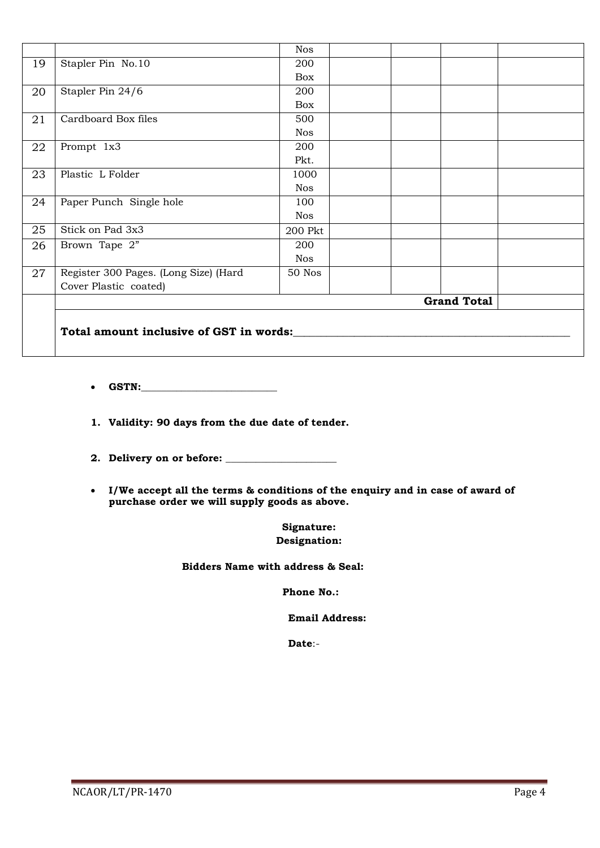|    |                                         | <b>Nos</b> |                    |
|----|-----------------------------------------|------------|--------------------|
| 19 | Stapler Pin No.10                       | 200        |                    |
|    |                                         | <b>Box</b> |                    |
| 20 | Stapler Pin 24/6                        | 200        |                    |
|    |                                         | <b>Box</b> |                    |
| 21 | Cardboard Box files                     | 500        |                    |
|    |                                         | <b>Nos</b> |                    |
| 22 | Prompt 1x3                              | 200        |                    |
|    |                                         | Pkt.       |                    |
| 23 | Plastic L Folder                        | 1000       |                    |
|    |                                         | <b>Nos</b> |                    |
| 24 | Paper Punch Single hole                 | 100        |                    |
|    |                                         | <b>Nos</b> |                    |
| 25 | Stick on Pad 3x3                        | 200 Pkt    |                    |
| 26 | Brown Tape 2"                           | 200        |                    |
|    |                                         | <b>Nos</b> |                    |
| 27 | Register 300 Pages. (Long Size) (Hard   | 50 Nos     |                    |
|    | Cover Plastic coated)                   |            |                    |
|    |                                         |            | <b>Grand Total</b> |
|    |                                         |            |                    |
|    | Total amount inclusive of GST in words: |            |                    |
|    |                                         |            |                    |
|    |                                         |            |                    |

- **GSTN:\_\_\_\_\_\_\_\_\_\_\_\_\_\_\_\_\_\_\_\_\_\_\_\_\_\_\_**
- **1. Validity: 90 days from the due date of tender.**
- **2. Delivery on or before: \_\_\_\_\_\_\_\_\_\_\_\_\_\_\_\_\_\_\_\_\_\_**
- **I/We accept all the terms & conditions of the enquiry and in case of award of purchase order we will supply goods as above.**

**Signature: Designation:**

 **Bidders Name with address & Seal:**

**Phone No.:**

 **Email Address:**

**Date**:-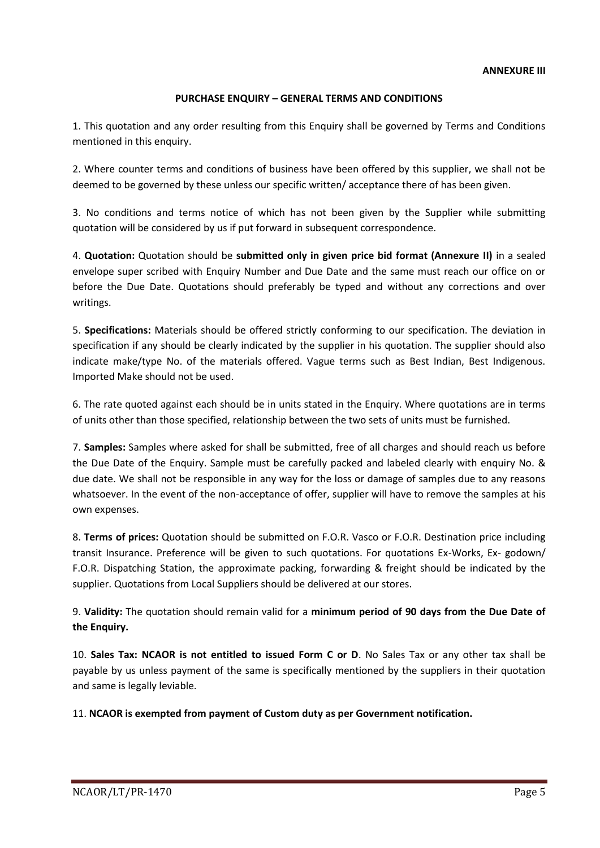# **PURCHASE ENQUIRY – GENERAL TERMS AND CONDITIONS**

1. This quotation and any order resulting from this Enquiry shall be governed by Terms and Conditions mentioned in this enquiry.

2. Where counter terms and conditions of business have been offered by this supplier, we shall not be deemed to be governed by these unless our specific written/ acceptance there of has been given.

3. No conditions and terms notice of which has not been given by the Supplier while submitting quotation will be considered by us if put forward in subsequent correspondence.

4. **Quotation:** Quotation should be **submitted only in given price bid format (Annexure II)** in a sealed envelope super scribed with Enquiry Number and Due Date and the same must reach our office on or before the Due Date. Quotations should preferably be typed and without any corrections and over writings.

5. **Specifications:** Materials should be offered strictly conforming to our specification. The deviation in specification if any should be clearly indicated by the supplier in his quotation. The supplier should also indicate make/type No. of the materials offered. Vague terms such as Best Indian, Best Indigenous. Imported Make should not be used.

6. The rate quoted against each should be in units stated in the Enquiry. Where quotations are in terms of units other than those specified, relationship between the two sets of units must be furnished.

7. **Samples:** Samples where asked for shall be submitted, free of all charges and should reach us before the Due Date of the Enquiry. Sample must be carefully packed and labeled clearly with enquiry No. & due date. We shall not be responsible in any way for the loss or damage of samples due to any reasons whatsoever. In the event of the non-acceptance of offer, supplier will have to remove the samples at his own expenses.

8. **Terms of prices:** Quotation should be submitted on F.O.R. Vasco or F.O.R. Destination price including transit Insurance. Preference will be given to such quotations. For quotations Ex-Works, Ex- godown/ F.O.R. Dispatching Station, the approximate packing, forwarding & freight should be indicated by the supplier. Quotations from Local Suppliers should be delivered at our stores.

9. **Validity:** The quotation should remain valid for a **minimum period of 90 days from the Due Date of the Enquiry.** 

10. **Sales Tax: NCAOR is not entitled to issued Form C or D**. No Sales Tax or any other tax shall be payable by us unless payment of the same is specifically mentioned by the suppliers in their quotation and same is legally leviable.

11. **NCAOR is exempted from payment of Custom duty as per Government notification.**